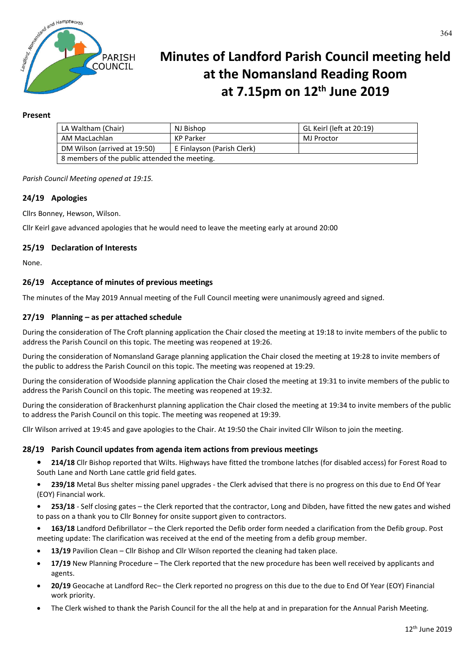

# **Minutes of Landford Parish Council meeting held at the Nomansland Reading Room at 7.15pm on 12th June 2019**

## **Present**

| LA Waltham (Chair)                            | NJ Bishop                  | GL Keirl (left at 20:19) |
|-----------------------------------------------|----------------------------|--------------------------|
| AM MacLachlan                                 | KP Parker                  | MJ Proctor               |
| DM Wilson (arrived at 19:50)                  | E Finlayson (Parish Clerk) |                          |
| 8 members of the public attended the meeting. |                            |                          |

*Parish Council Meeting opened at 19:15.*

## **24/19 Apologies**

Cllrs Bonney, Hewson, Wilson.

Cllr Keirl gave advanced apologies that he would need to leave the meeting early at around 20:00

## **25/19 Declaration of Interests**

None.

## **26/19 Acceptance of minutes of previous meetings**

The minutes of the May 2019 Annual meeting of the Full Council meeting were unanimously agreed and signed.

## **27/19 Planning – as per attached schedule**

During the consideration of The Croft planning application the Chair closed the meeting at 19:18 to invite members of the public to address the Parish Council on this topic. The meeting was reopened at 19:26.

During the consideration of Nomansland Garage planning application the Chair closed the meeting at 19:28 to invite members of the public to address the Parish Council on this topic. The meeting was reopened at 19:29.

During the consideration of Woodside planning application the Chair closed the meeting at 19:31 to invite members of the public to address the Parish Council on this topic. The meeting was reopened at 19:32.

During the consideration of Brackenhurst planning application the Chair closed the meeting at 19:34 to invite members of the public to address the Parish Council on this topic. The meeting was reopened at 19:39.

Cllr Wilson arrived at 19:45 and gave apologies to the Chair. At 19:50 the Chair invited Cllr Wilson to join the meeting.

#### **28/19 Parish Council updates from agenda item actions from previous meetings**

- **• 214/18** Cllr Bishop reported that Wilts. Highways have fitted the trombone latches (for disabled access) for Forest Road to South Lane and North Lane cattle grid field gates.
- **• 239/18** Metal Bus shelter missing panel upgrades the Clerk advised that there is no progress on this due to End Of Year (EOY) Financial work.
- **• 253/18**  Self closing gates the Clerk reported that the contractor, Long and Dibden, have fitted the new gates and wished to pass on a thank you to Cllr Bonney for onsite support given to contractors.
- **• 163/18** Landford Defibrillator the Clerk reported the Defib order form needed a clarification from the Defib group. Post meeting update: The clarification was received at the end of the meeting from a defib group member.
- **13/19** Pavilion Clean Cllr Bishop and Cllr Wilson reported the cleaning had taken place.
- **17/19** New Planning Procedure The Clerk reported that the new procedure has been well received by applicants and agents.
- **20/19** Geocache at Landford Rec– the Clerk reported no progress on this due to the due to End Of Year (EOY) Financial work priority.
- The Clerk wished to thank the Parish Council for the all the help at and in preparation for the Annual Parish Meeting.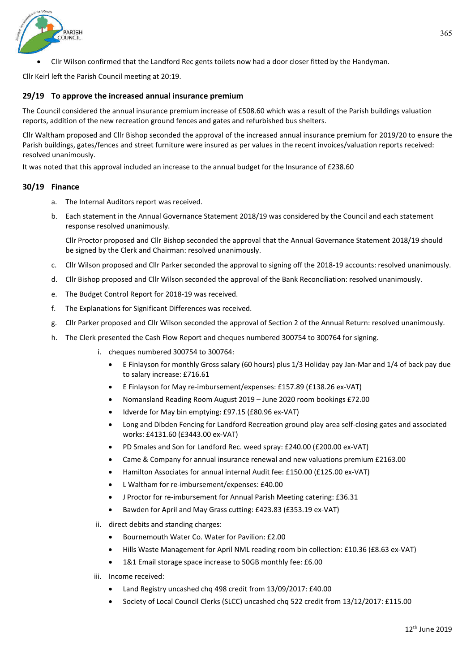

Cllr Wilson confirmed that the Landford Rec gents toilets now had a door closer fitted by the Handyman.

Cllr Keirl left the Parish Council meeting at 20:19.

# **29/19 To approve the increased annual insurance premium**

The Council considered the annual insurance premium increase of £508.60 which was a result of the Parish buildings valuation reports, addition of the new recreation ground fences and gates and refurbished bus shelters.

Cllr Waltham proposed and Cllr Bishop seconded the approval of the increased annual insurance premium for 2019/20 to ensure the Parish buildings, gates/fences and street furniture were insured as per values in the recent invoices/valuation reports received: resolved unanimously.

It was noted that this approval included an increase to the annual budget for the Insurance of £238.60

# **30/19 Finance**

- a. The Internal Auditors report was received.
- b. Each statement in the Annual Governance Statement 2018/19 was considered by the Council and each statement response resolved unanimously.

Cllr Proctor proposed and Cllr Bishop seconded the approval that the Annual Governance Statement 2018/19 should be signed by the Clerk and Chairman: resolved unanimously.

- c. Cllr Wilson proposed and Cllr Parker seconded the approval to signing off the 2018-19 accounts: resolved unanimously.
- d. Cllr Bishop proposed and Cllr Wilson seconded the approval of the Bank Reconciliation: resolved unanimously.
- e. The Budget Control Report for 2018-19 was received.
- f. The Explanations for Significant Differences was received.
- g. Cllr Parker proposed and Cllr Wilson seconded the approval of Section 2 of the Annual Return: resolved unanimously.
- h. The Clerk presented the Cash Flow Report and cheques numbered 300754 to 300764 for signing.
	- i. cheques numbered 300754 to 300764:
		- E Finlayson for monthly Gross salary (60 hours) plus 1/3 Holiday pay Jan-Mar and 1/4 of back pay due to salary increase: £716.61
		- E Finlayson for May re-imbursement/expenses: £157.89 (£138.26 ex-VAT)
		- Nomansland Reading Room August 2019 June 2020 room bookings £72.00
		- Idverde for May bin emptying: £97.15 (£80.96 ex-VAT)
		- Long and Dibden Fencing for Landford Recreation ground play area self-closing gates and associated works: £4131.60 (£3443.00 ex-VAT)
		- PD Smales and Son for Landford Rec. weed spray: £240.00 (£200.00 ex-VAT)
		- Came & Company for annual insurance renewal and new valuations premium £2163.00
		- Hamilton Associates for annual internal Audit fee: £150.00 (£125.00 ex-VAT)
		- L Waltham for re-imbursement/expenses: £40.00
		- J Proctor for re-imbursement for Annual Parish Meeting catering: £36.31
		- Bawden for April and May Grass cutting: £423.83 (£353.19 ex-VAT)
	- ii. direct debits and standing charges:
		- Bournemouth Water Co. Water for Pavilion: £2.00
		- Hills Waste Management for April NML reading room bin collection: £10.36 (£8.63 ex-VAT)
		- 1&1 Email storage space increase to 50GB monthly fee: £6.00
	- iii. Income received:
		- Land Registry uncashed chq 498 credit from 13/09/2017: £40.00
		- Society of Local Council Clerks (SLCC) uncashed chq 522 credit from 13/12/2017: £115.00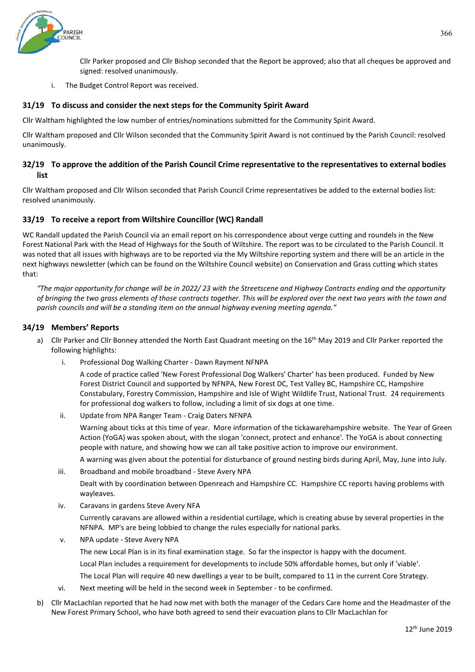

Cllr Parker proposed and Cllr Bishop seconded that the Report be approved; also that all cheques be approved and signed: resolved unanimously.

i. The Budget Control Report was received.

## **31/19 To discuss and consider the next steps for the Community Spirit Award**

Cllr Waltham highlighted the low number of entries/nominations submitted for the Community Spirit Award.

Cllr Waltham proposed and Cllr Wilson seconded that the Community Spirit Award is not continued by the Parish Council: resolved unanimously.

## **32/19 To approve the addition of the Parish Council Crime representative to the representatives to external bodies list**

Cllr Waltham proposed and Cllr Wilson seconded that Parish Council Crime representatives be added to the external bodies list: resolved unanimously.

## **33/19 To receive a report from Wiltshire Councillor (WC) Randall**

WC Randall updated the Parish Council via an email report on his correspondence about verge cutting and roundels in the New Forest National Park with the Head of Highways for the South of Wiltshire. The report was to be circulated to the Parish Council. It was noted that all issues with highways are to be reported via the My Wiltshire reporting system and there will be an article in the next highways newsletter (which can be found on the Wiltshire Council website) on Conservation and Grass cutting which states that:

*"The major opportunity for change will be in 2022/ 23 with the Streetscene and Highway Contracts ending and the opportunity of bringing the two grass elements of those contracts together. This will be explored over the next two years with the town and parish councils and will be a standing item on the annual highway evening meeting agenda."*

#### **34/19 Members' Reports**

- a) Cllr Parker and Cllr Bonney attended the North East Quadrant meeting on the 16<sup>th</sup> May 2019 and Cllr Parker reported the following highlights:
	- i. Professional Dog Walking Charter Dawn Rayment NFNPA

A code of practice called 'New Forest Professional Dog Walkers' Charter' has been produced. Funded by New Forest District Council and supported by NFNPA, New Forest DC, Test Valley BC, Hampshire CC, Hampshire Constabulary, Forestry Commission, Hampshire and Isle of Wight Wildlife Trust, National Trust. 24 requirements for professional dog walkers to follow, including a limit of six dogs at one time.

ii. Update from NPA Ranger Team - Craig Daters NFNPA

Warning about ticks at this time of year. More information of the tickawarehampshire website. The Year of Green Action (YoGA) was spoken about, with the slogan 'connect, protect and enhance'. The YoGA is about connecting people with nature, and showing how we can all take positive action to improve our environment.

A warning was given about the potential for disturbance of ground nesting birds during April, May, June into July.

iii. Broadband and mobile broadband - Steve Avery NPA

Dealt with by coordination between Openreach and Hampshire CC. Hampshire CC reports having problems with wayleaves.

iv. Caravans in gardens Steve Avery NFA

Currently caravans are allowed within a residential curtilage, which is creating abuse by several properties in the NFNPA. MP's are being lobbied to change the rules especially for national parks.

v. NPA update - Steve Avery NPA

The new Local Plan is in its final examination stage. So far the inspector is happy with the document.

Local Plan includes a requirement for developments to include 50% affordable homes, but only if 'viable'.

The Local Plan will require 40 new dwellings a year to be built, compared to 11 in the current Core Strategy.

- vi. Next meeting will be held in the second week in September to be confirmed.
- b) Cllr MacLachlan reported that he had now met with both the manager of the Cedars Care home and the Headmaster of the New Forest Primary School, who have both agreed to send their evacuation plans to Cllr MacLachlan for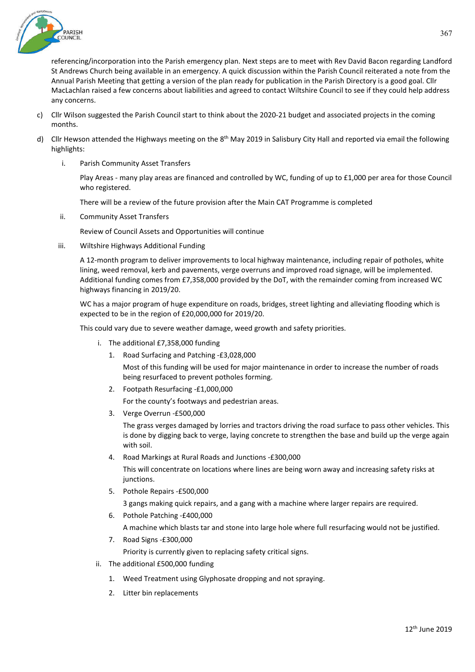

referencing/incorporation into the Parish emergency plan. Next steps are to meet with Rev David Bacon regarding Landford St Andrews Church being available in an emergency. A quick discussion within the Parish Council reiterated a note from the Annual Parish Meeting that getting a version of the plan ready for publication in the Parish Directory is a good goal. Cllr MacLachlan raised a few concerns about liabilities and agreed to contact Wiltshire Council to see if they could help address any concerns.

- c) Cllr Wilson suggested the Parish Council start to think about the 2020-21 budget and associated projects in the coming months.
- d) Cllr Hewson attended the Highways meeting on the  $8<sup>th</sup>$  May 2019 in Salisbury City Hall and reported via email the following highlights:
	- i. Parish Community Asset Transfers

Play Areas - many play areas are financed and controlled by WC, funding of up to £1,000 per area for those Council who registered.

There will be a review of the future provision after the Main CAT Programme is completed

ii. Community Asset Transfers

Review of Council Assets and Opportunities will continue

iii. Wiltshire Highways Additional Funding

A 12-month program to deliver improvements to local highway maintenance, including repair of potholes, white lining, weed removal, kerb and pavements, verge overruns and improved road signage, will be implemented. Additional funding comes from £7,358,000 provided by the DoT, with the remainder coming from increased WC highways financing in 2019/20.

WC has a major program of huge expenditure on roads, bridges, street lighting and alleviating flooding which is expected to be in the region of £20,000,000 for 2019/20.

This could vary due to severe weather damage, weed growth and safety priorities.

- i. The additional £7,358,000 funding
	- 1. Road Surfacing and Patching -£3,028,000

Most of this funding will be used for major maintenance in order to increase the number of roads being resurfaced to prevent potholes forming.

2. Footpath Resurfacing -£1,000,000

For the county's footways and pedestrian areas.

3. Verge Overrun -£500,000

The grass verges damaged by lorries and tractors driving the road surface to pass other vehicles. This is done by digging back to verge, laying concrete to strengthen the base and build up the verge again with soil.

4. Road Markings at Rural Roads and Junctions -£300,000

This will concentrate on locations where lines are being worn away and increasing safety risks at junctions.

5. Pothole Repairs -£500,000

3 gangs making quick repairs, and a gang with a machine where larger repairs are required.

- 6. Pothole Patching -£400,000 A machine which blasts tar and stone into large hole where full resurfacing would not be justified.
- 7. Road Signs -£300,000 Priority is currently given to replacing safety critical signs.
- ii. The additional £500,000 funding
	- 1. Weed Treatment using Glyphosate dropping and not spraying.
	- 2. Litter bin replacements